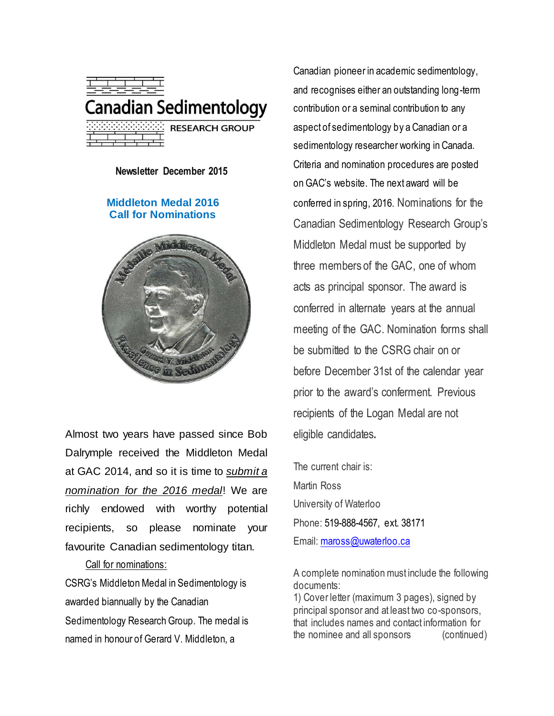

**Newsletter December 2015**

### **Middleton Medal 2016 Call for Nominations**



Almost two years have passed since Bob Dalrymple received the Middleton Medal at GAC 2014, and so it is time to *submit a nomination for the 2016 medal*! We are richly endowed with worthy potential recipients, so please nominate your favourite Canadian sedimentology titan.

#### Call for nominations:

CSRG's Middleton Medal in Sedimentology is awarded biannually by the Canadian Sedimentology Research Group. The medal is named in honour of Gerard V. Middleton, a

Canadian pioneer in academic sedimentology, and recognises either an outstanding long-term contribution or a seminal contribution to any aspect of sedimentology by a Canadian or a sedimentology researcher working in Canada. Criteria and nomination procedures are posted on GAC's website. The next award will be conferred in spring, 2016. Nominations for the Canadian Sedimentology Research Group's Middleton Medal must be supported by three members of the GAC, one of whom acts as principal sponsor. The award is conferred in alternate years at the annual meeting of the GAC. Nomination forms shall be submitted to the CSRG chair on or before December 31st of the calendar year prior to the award's conferment. Previous recipients of the Logan Medal are not eligible candidates**.**

The current chair is: Martin Ross University of Waterloo Phone: 519-888-4567, ext. 38171 Email: [maross@uwaterloo.ca](mailto:maross@uwaterloo.ca)

A complete nomination must include the following documents:

1) Cover letter (maximum 3 pages), signed by principal sponsor and at least two co-sponsors, that includes names and contact information for the nominee and all sponsors (continued)